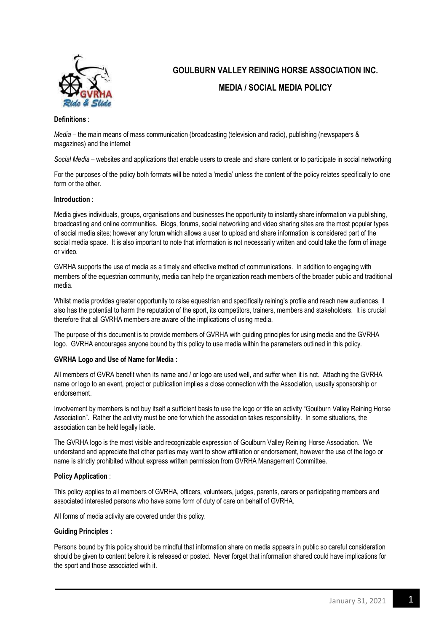

# **GOULBURN VALLEY REINING HORSE ASSOCIATION INC. MEDIA / SOCIAL MEDIA POLICY**

## **Definitions** :

*Media* – the main means of mass communication (broadcasting (television and radio), publishing (newspapers & magazines) and the internet

*Social Media* – websites and applications that enable users to create and share content or to participate in social networking

For the purposes of the policy both formats will be noted a 'media' unless the content of the policy relates specifically to one form or the other.

## **Introduction** :

Media gives individuals, groups, organisations and businesses the opportunity to instantly share information via publishing, broadcasting and online communities. Blogs, forums, social networking and video sharing sites are the most popular types of social media sites; however any forum which allows a user to upload and share information is considered part of the social media space. It is also important to note that information is not necessarily written and could take the form of image or video.

GVRHA supports the use of media as a timely and effective method of communications. In addition to engaging with members of the equestrian community, media can help the organization reach members of the broader public and traditional media.

Whilst media provides greater opportunity to raise equestrian and specifically reining's profile and reach new audiences, it also has the potential to harm the reputation of the sport, its competitors, trainers, members and stakeholders. It is crucial therefore that all GVRHA members are aware of the implications of using media.

The purpose of this document is to provide members of GVRHA with guiding principles for using media and the GVRHA logo. GVRHA encourages anyone bound by this policy to use media within the parameters outlined in this policy.

# **GVRHA Logo and Use of Name for Media :**

All members of GVRA benefit when its name and / or logo are used well, and suffer when it is not. Attaching the GVRHA name or logo to an event, project or publication implies a close connection with the Association, usually sponsorship or endorsement.

Involvement by members is not buy itself a sufficient basis to use the logo or title an activity "Goulburn Valley Reining Horse Association". Rather the activity must be one for which the association takes responsibility. In some situations, the association can be held legally liable.

The GVRHA logo is the most visible and recognizable expression of Goulburn Valley Reining Horse Association. We understand and appreciate that other parties may want to show affiliation or endorsement, however the use of the logo or name is strictly prohibited without express written permission from GVRHA Management Committee.

#### **Policy Application** :

This policy applies to all members of GVRHA, officers, volunteers, judges, parents, carers or participating members and associated interested persons who have some form of duty of care on behalf of GVRHA.

All forms of media activity are covered under this policy.

#### **Guiding Principles :**

Persons bound by this policy should be mindful that information share on media appears in public so careful consideration should be given to content before it is released or posted. Never forget that information shared could have implications for the sport and those associated with it.